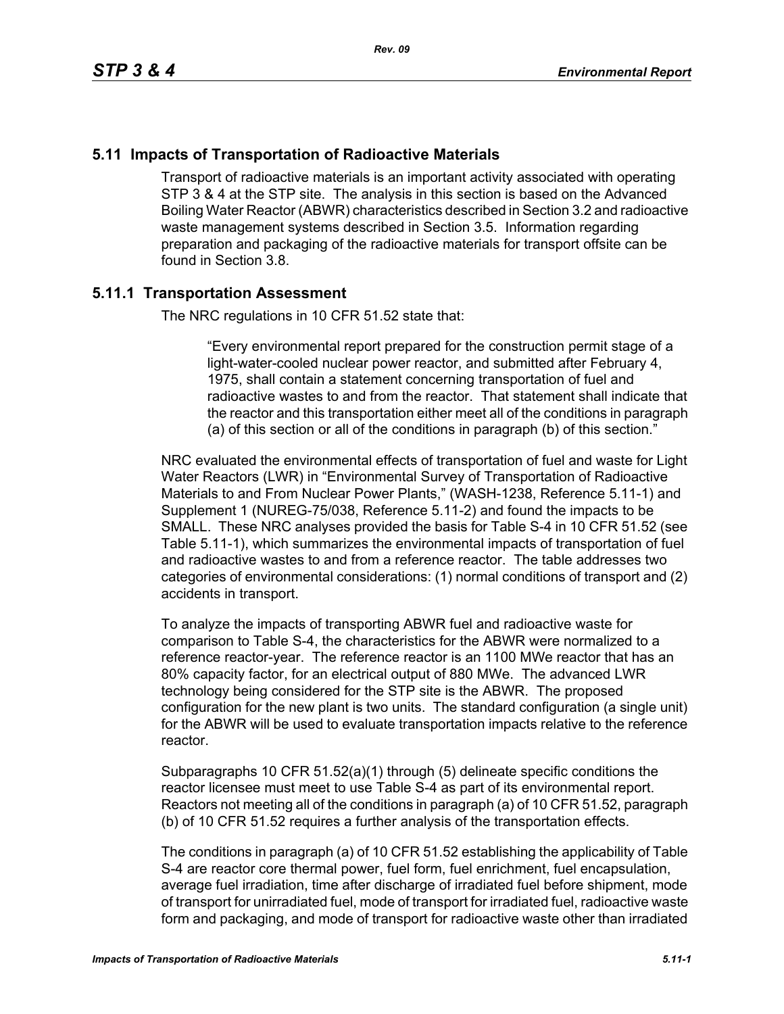## **5.11 Impacts of Transportation of Radioactive Materials**

Transport of radioactive materials is an important activity associated with operating STP 3 & 4 at the STP site. The analysis in this section is based on the Advanced Boiling Water Reactor (ABWR) characteristics described in Section 3.2 and radioactive waste management systems described in Section 3.5. Information regarding preparation and packaging of the radioactive materials for transport offsite can be found in Section 3.8.

### **5.11.1 Transportation Assessment**

The NRC regulations in 10 CFR 51.52 state that:

"Every environmental report prepared for the construction permit stage of a light-water-cooled nuclear power reactor, and submitted after February 4, 1975, shall contain a statement concerning transportation of fuel and radioactive wastes to and from the reactor. That statement shall indicate that the reactor and this transportation either meet all of the conditions in paragraph (a) of this section or all of the conditions in paragraph (b) of this section."

NRC evaluated the environmental effects of transportation of fuel and waste for Light Water Reactors (LWR) in "Environmental Survey of Transportation of Radioactive Materials to and From Nuclear Power Plants," (WASH-1238, Reference 5.11-1) and Supplement 1 (NUREG-75/038, Reference 5.11-2) and found the impacts to be SMALL. These NRC analyses provided the basis for Table S-4 in 10 CFR 51.52 (see Table 5.11-1), which summarizes the environmental impacts of transportation of fuel and radioactive wastes to and from a reference reactor. The table addresses two categories of environmental considerations: (1) normal conditions of transport and (2) accidents in transport.

To analyze the impacts of transporting ABWR fuel and radioactive waste for comparison to Table S-4, the characteristics for the ABWR were normalized to a reference reactor-year. The reference reactor is an 1100 MWe reactor that has an 80% capacity factor, for an electrical output of 880 MWe. The advanced LWR technology being considered for the STP site is the ABWR. The proposed configuration for the new plant is two units. The standard configuration (a single unit) for the ABWR will be used to evaluate transportation impacts relative to the reference reactor.

Subparagraphs 10 CFR 51.52(a)(1) through (5) delineate specific conditions the reactor licensee must meet to use Table S-4 as part of its environmental report. Reactors not meeting all of the conditions in paragraph (a) of 10 CFR 51.52, paragraph (b) of 10 CFR 51.52 requires a further analysis of the transportation effects.

The conditions in paragraph (a) of 10 CFR 51.52 establishing the applicability of Table S-4 are reactor core thermal power, fuel form, fuel enrichment, fuel encapsulation, average fuel irradiation, time after discharge of irradiated fuel before shipment, mode of transport for unirradiated fuel, mode of transport for irradiated fuel, radioactive waste form and packaging, and mode of transport for radioactive waste other than irradiated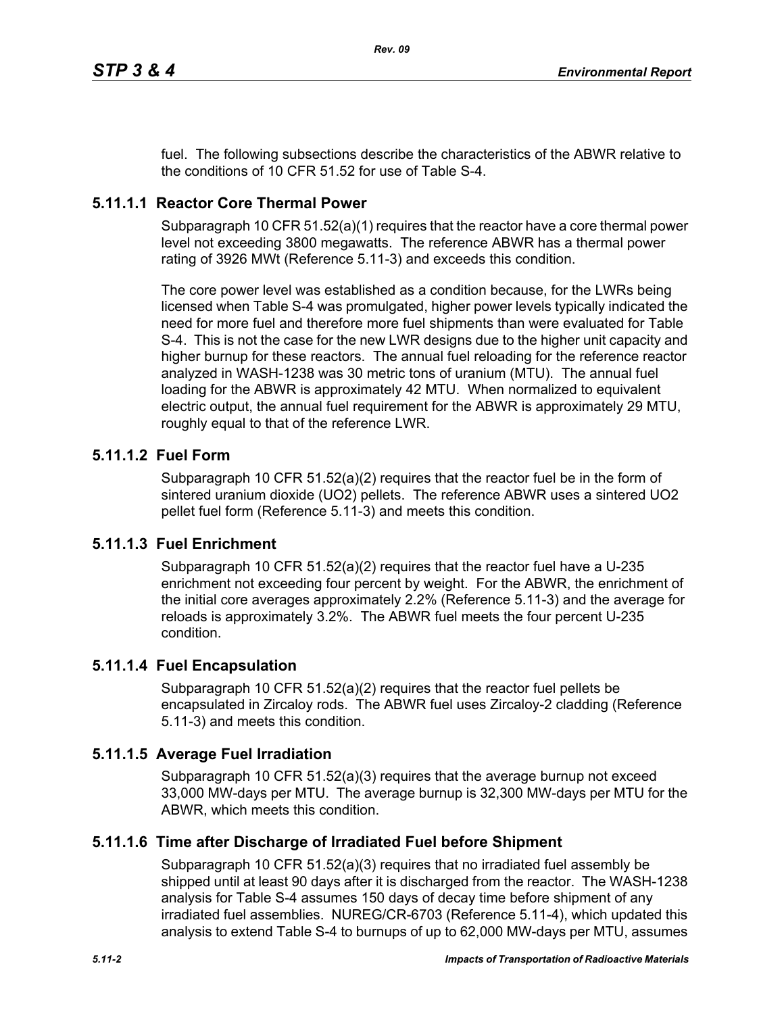fuel. The following subsections describe the characteristics of the ABWR relative to the conditions of 10 CFR 51.52 for use of Table S-4.

## **5.11.1.1 Reactor Core Thermal Power**

Subparagraph 10 CFR 51.52(a)(1) requires that the reactor have a core thermal power level not exceeding 3800 megawatts. The reference ABWR has a thermal power rating of 3926 MWt (Reference 5.11-3) and exceeds this condition.

The core power level was established as a condition because, for the LWRs being licensed when Table S-4 was promulgated, higher power levels typically indicated the need for more fuel and therefore more fuel shipments than were evaluated for Table S-4. This is not the case for the new LWR designs due to the higher unit capacity and higher burnup for these reactors. The annual fuel reloading for the reference reactor analyzed in WASH-1238 was 30 metric tons of uranium (MTU). The annual fuel loading for the ABWR is approximately 42 MTU. When normalized to equivalent electric output, the annual fuel requirement for the ABWR is approximately 29 MTU, roughly equal to that of the reference LWR.

## **5.11.1.2 Fuel Form**

Subparagraph 10 CFR 51.52(a)(2) requires that the reactor fuel be in the form of sintered uranium dioxide (UO2) pellets. The reference ABWR uses a sintered UO2 pellet fuel form (Reference 5.11-3) and meets this condition.

### **5.11.1.3 Fuel Enrichment**

Subparagraph 10 CFR 51.52(a)(2) requires that the reactor fuel have a U-235 enrichment not exceeding four percent by weight. For the ABWR, the enrichment of the initial core averages approximately 2.2% (Reference 5.11-3) and the average for reloads is approximately 3.2%. The ABWR fuel meets the four percent U-235 condition.

### **5.11.1.4 Fuel Encapsulation**

Subparagraph 10 CFR 51.52(a)(2) requires that the reactor fuel pellets be encapsulated in Zircaloy rods. The ABWR fuel uses Zircaloy-2 cladding (Reference 5.11-3) and meets this condition.

### **5.11.1.5 Average Fuel Irradiation**

Subparagraph 10 CFR  $51.52(a)(3)$  requires that the average burnup not exceed 33,000 MW-days per MTU. The average burnup is 32,300 MW-days per MTU for the ABWR, which meets this condition.

### **5.11.1.6 Time after Discharge of Irradiated Fuel before Shipment**

Subparagraph 10 CFR 51.52(a)(3) requires that no irradiated fuel assembly be shipped until at least 90 days after it is discharged from the reactor. The WASH-1238 analysis for Table S-4 assumes 150 days of decay time before shipment of any irradiated fuel assemblies. NUREG/CR-6703 (Reference 5.11-4), which updated this analysis to extend Table S-4 to burnups of up to 62,000 MW-days per MTU, assumes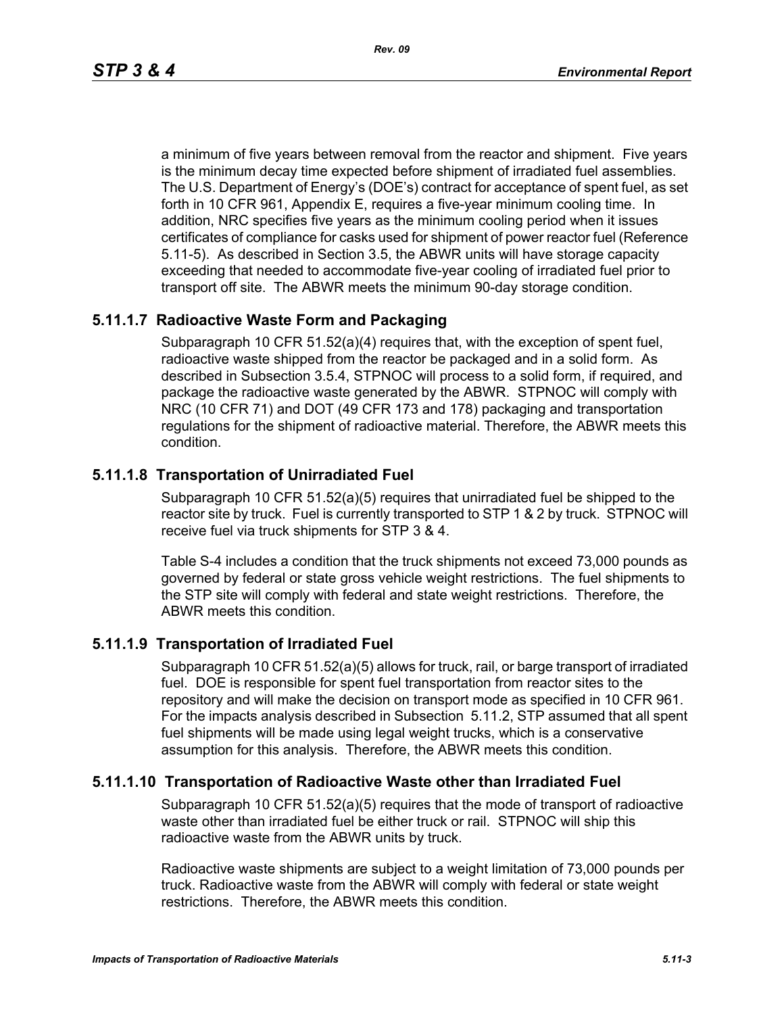a minimum of five years between removal from the reactor and shipment. Five years is the minimum decay time expected before shipment of irradiated fuel assemblies. The U.S. Department of Energy's (DOE's) contract for acceptance of spent fuel, as set forth in 10 CFR 961, Appendix E, requires a five-year minimum cooling time. In addition, NRC specifies five years as the minimum cooling period when it issues certificates of compliance for casks used for shipment of power reactor fuel (Reference 5.11-5). As described in Section 3.5, the ABWR units will have storage capacity exceeding that needed to accommodate five-year cooling of irradiated fuel prior to transport off site. The ABWR meets the minimum 90-day storage condition.

### **5.11.1.7 Radioactive Waste Form and Packaging**

Subparagraph 10 CFR 51.52(a)(4) requires that, with the exception of spent fuel, radioactive waste shipped from the reactor be packaged and in a solid form. As described in Subsection 3.5.4, STPNOC will process to a solid form, if required, and package the radioactive waste generated by the ABWR. STPNOC will comply with NRC (10 CFR 71) and DOT (49 CFR 173 and 178) packaging and transportation regulations for the shipment of radioactive material. Therefore, the ABWR meets this condition.

## **5.11.1.8 Transportation of Unirradiated Fuel**

Subparagraph 10 CFR 51.52(a)(5) requires that unirradiated fuel be shipped to the reactor site by truck. Fuel is currently transported to STP 1 & 2 by truck. STPNOC will receive fuel via truck shipments for STP 3 & 4.

Table S-4 includes a condition that the truck shipments not exceed 73,000 pounds as governed by federal or state gross vehicle weight restrictions. The fuel shipments to the STP site will comply with federal and state weight restrictions. Therefore, the ABWR meets this condition.

### **5.11.1.9 Transportation of Irradiated Fuel**

Subparagraph 10 CFR 51.52(a)(5) allows for truck, rail, or barge transport of irradiated fuel. DOE is responsible for spent fuel transportation from reactor sites to the repository and will make the decision on transport mode as specified in 10 CFR 961. For the impacts analysis described in Subsection 5.11.2, STP assumed that all spent fuel shipments will be made using legal weight trucks, which is a conservative assumption for this analysis. Therefore, the ABWR meets this condition.

### **5.11.1.10 Transportation of Radioactive Waste other than Irradiated Fuel**

Subparagraph 10 CFR 51.52(a)(5) requires that the mode of transport of radioactive waste other than irradiated fuel be either truck or rail. STPNOC will ship this radioactive waste from the ABWR units by truck.

Radioactive waste shipments are subject to a weight limitation of 73,000 pounds per truck. Radioactive waste from the ABWR will comply with federal or state weight restrictions. Therefore, the ABWR meets this condition.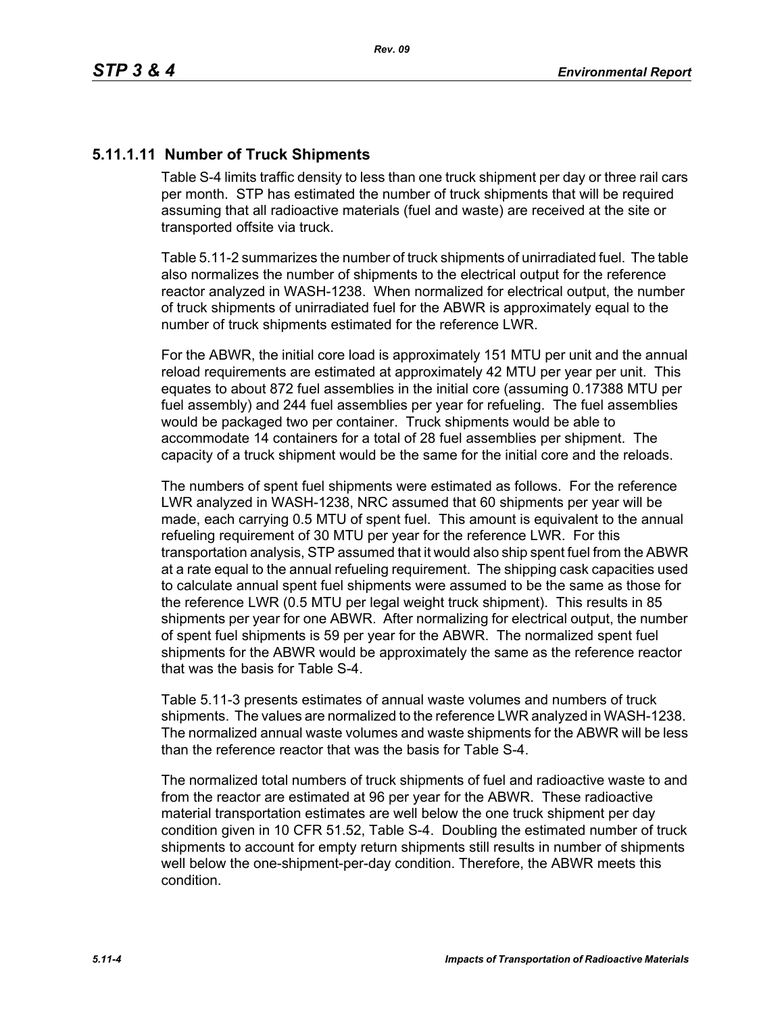## **5.11.1.11 Number of Truck Shipments**

Table S-4 limits traffic density to less than one truck shipment per day or three rail cars per month. STP has estimated the number of truck shipments that will be required assuming that all radioactive materials (fuel and waste) are received at the site or transported offsite via truck.

Table 5.11-2 summarizes the number of truck shipments of unirradiated fuel. The table also normalizes the number of shipments to the electrical output for the reference reactor analyzed in WASH-1238. When normalized for electrical output, the number of truck shipments of unirradiated fuel for the ABWR is approximately equal to the number of truck shipments estimated for the reference LWR.

For the ABWR, the initial core load is approximately 151 MTU per unit and the annual reload requirements are estimated at approximately 42 MTU per year per unit. This equates to about 872 fuel assemblies in the initial core (assuming 0.17388 MTU per fuel assembly) and 244 fuel assemblies per year for refueling. The fuel assemblies would be packaged two per container. Truck shipments would be able to accommodate 14 containers for a total of 28 fuel assemblies per shipment. The capacity of a truck shipment would be the same for the initial core and the reloads.

The numbers of spent fuel shipments were estimated as follows. For the reference LWR analyzed in WASH-1238, NRC assumed that 60 shipments per year will be made, each carrying 0.5 MTU of spent fuel. This amount is equivalent to the annual refueling requirement of 30 MTU per year for the reference LWR. For this transportation analysis, STP assumed that it would also ship spent fuel from the ABWR at a rate equal to the annual refueling requirement. The shipping cask capacities used to calculate annual spent fuel shipments were assumed to be the same as those for the reference LWR (0.5 MTU per legal weight truck shipment). This results in 85 shipments per year for one ABWR. After normalizing for electrical output, the number of spent fuel shipments is 59 per year for the ABWR. The normalized spent fuel shipments for the ABWR would be approximately the same as the reference reactor that was the basis for Table S-4.

Table 5.11-3 presents estimates of annual waste volumes and numbers of truck shipments. The values are normalized to the reference LWR analyzed in WASH-1238. The normalized annual waste volumes and waste shipments for the ABWR will be less than the reference reactor that was the basis for Table S-4.

The normalized total numbers of truck shipments of fuel and radioactive waste to and from the reactor are estimated at 96 per year for the ABWR. These radioactive material transportation estimates are well below the one truck shipment per day condition given in 10 CFR 51.52, Table S-4. Doubling the estimated number of truck shipments to account for empty return shipments still results in number of shipments well below the one-shipment-per-day condition. Therefore, the ABWR meets this condition.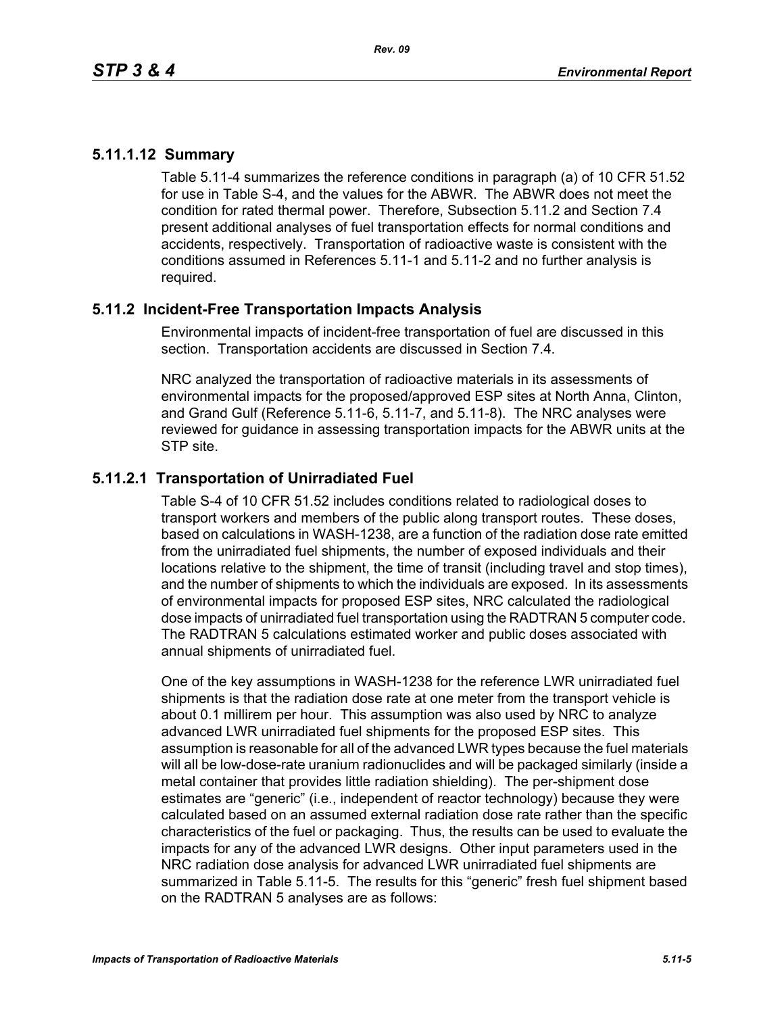## **5.11.1.12 Summary**

Table 5.11-4 summarizes the reference conditions in paragraph (a) of 10 CFR 51.52 for use in Table S-4, and the values for the ABWR. The ABWR does not meet the condition for rated thermal power. Therefore, Subsection 5.11.2 and Section 7.4 present additional analyses of fuel transportation effects for normal conditions and accidents, respectively. Transportation of radioactive waste is consistent with the conditions assumed in References 5.11-1 and 5.11-2 and no further analysis is required.

## **5.11.2 Incident-Free Transportation Impacts Analysis**

Environmental impacts of incident-free transportation of fuel are discussed in this section. Transportation accidents are discussed in Section 7.4.

NRC analyzed the transportation of radioactive materials in its assessments of environmental impacts for the proposed/approved ESP sites at North Anna, Clinton, and Grand Gulf (Reference 5.11-6, 5.11-7, and 5.11-8). The NRC analyses were reviewed for guidance in assessing transportation impacts for the ABWR units at the STP site.

## **5.11.2.1 Transportation of Unirradiated Fuel**

Table S-4 of 10 CFR 51.52 includes conditions related to radiological doses to transport workers and members of the public along transport routes. These doses, based on calculations in WASH-1238, are a function of the radiation dose rate emitted from the unirradiated fuel shipments, the number of exposed individuals and their locations relative to the shipment, the time of transit (including travel and stop times), and the number of shipments to which the individuals are exposed. In its assessments of environmental impacts for proposed ESP sites, NRC calculated the radiological dose impacts of unirradiated fuel transportation using the RADTRAN 5 computer code. The RADTRAN 5 calculations estimated worker and public doses associated with annual shipments of unirradiated fuel.

One of the key assumptions in WASH-1238 for the reference LWR unirradiated fuel shipments is that the radiation dose rate at one meter from the transport vehicle is about 0.1 millirem per hour. This assumption was also used by NRC to analyze advanced LWR unirradiated fuel shipments for the proposed ESP sites. This assumption is reasonable for all of the advanced LWR types because the fuel materials will all be low-dose-rate uranium radionuclides and will be packaged similarly (inside a metal container that provides little radiation shielding). The per-shipment dose estimates are "generic" (i.e., independent of reactor technology) because they were calculated based on an assumed external radiation dose rate rather than the specific characteristics of the fuel or packaging. Thus, the results can be used to evaluate the impacts for any of the advanced LWR designs. Other input parameters used in the NRC radiation dose analysis for advanced LWR unirradiated fuel shipments are summarized in Table 5.11-5. The results for this "generic" fresh fuel shipment based on the RADTRAN 5 analyses are as follows: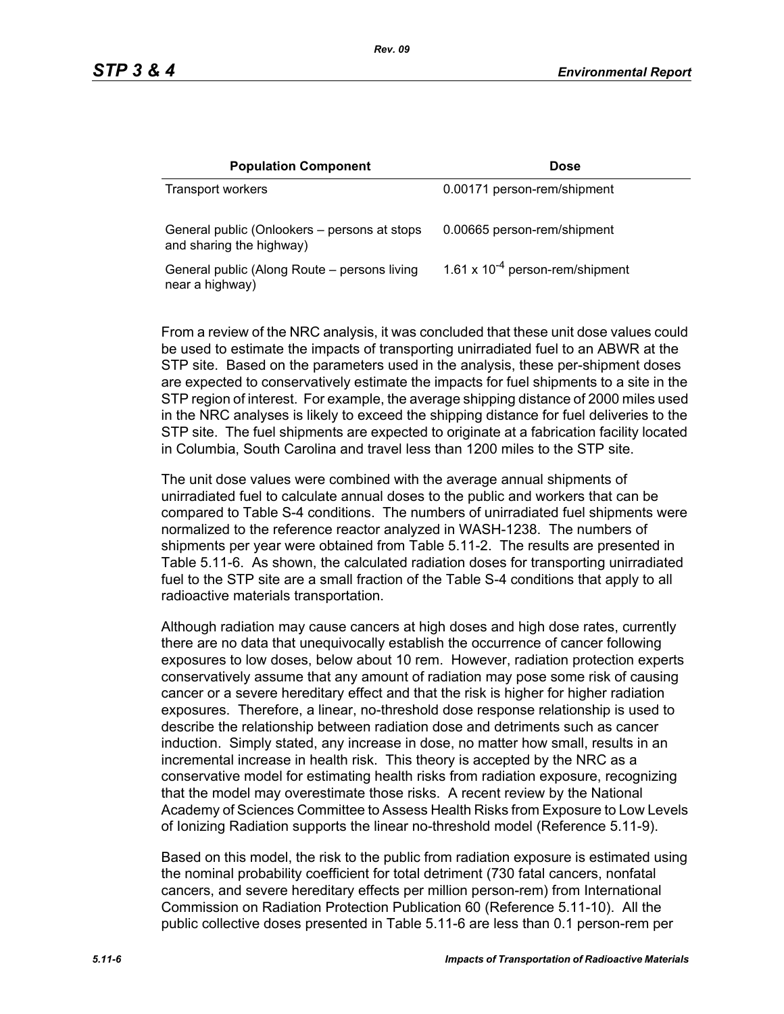| <b>Population Component</b>                                              | <b>Dose</b>                          |
|--------------------------------------------------------------------------|--------------------------------------|
| Transport workers                                                        | 0.00171 person-rem/shipment          |
| General public (Onlookers – persons at stops<br>and sharing the highway) | 0.00665 person-rem/shipment          |
| General public (Along Route – persons living<br>near a highway)          | 1.61 x $10^{-4}$ person-rem/shipment |

From a review of the NRC analysis, it was concluded that these unit dose values could be used to estimate the impacts of transporting unirradiated fuel to an ABWR at the STP site. Based on the parameters used in the analysis, these per-shipment doses are expected to conservatively estimate the impacts for fuel shipments to a site in the STP region of interest. For example, the average shipping distance of 2000 miles used in the NRC analyses is likely to exceed the shipping distance for fuel deliveries to the STP site. The fuel shipments are expected to originate at a fabrication facility located in Columbia, South Carolina and travel less than 1200 miles to the STP site.

The unit dose values were combined with the average annual shipments of unirradiated fuel to calculate annual doses to the public and workers that can be compared to Table S-4 conditions. The numbers of unirradiated fuel shipments were normalized to the reference reactor analyzed in WASH-1238. The numbers of shipments per year were obtained from Table 5.11-2. The results are presented in Table 5.11-6. As shown, the calculated radiation doses for transporting unirradiated fuel to the STP site are a small fraction of the Table S-4 conditions that apply to all radioactive materials transportation.

Although radiation may cause cancers at high doses and high dose rates, currently there are no data that unequivocally establish the occurrence of cancer following exposures to low doses, below about 10 rem. However, radiation protection experts conservatively assume that any amount of radiation may pose some risk of causing cancer or a severe hereditary effect and that the risk is higher for higher radiation exposures. Therefore, a linear, no-threshold dose response relationship is used to describe the relationship between radiation dose and detriments such as cancer induction. Simply stated, any increase in dose, no matter how small, results in an incremental increase in health risk. This theory is accepted by the NRC as a conservative model for estimating health risks from radiation exposure, recognizing that the model may overestimate those risks. A recent review by the National Academy of Sciences Committee to Assess Health Risks from Exposure to Low Levels of Ionizing Radiation supports the linear no-threshold model (Reference 5.11-9).

Based on this model, the risk to the public from radiation exposure is estimated using the nominal probability coefficient for total detriment (730 fatal cancers, nonfatal cancers, and severe hereditary effects per million person-rem) from International Commission on Radiation Protection Publication 60 (Reference 5.11-10). All the public collective doses presented in Table 5.11-6 are less than 0.1 person-rem per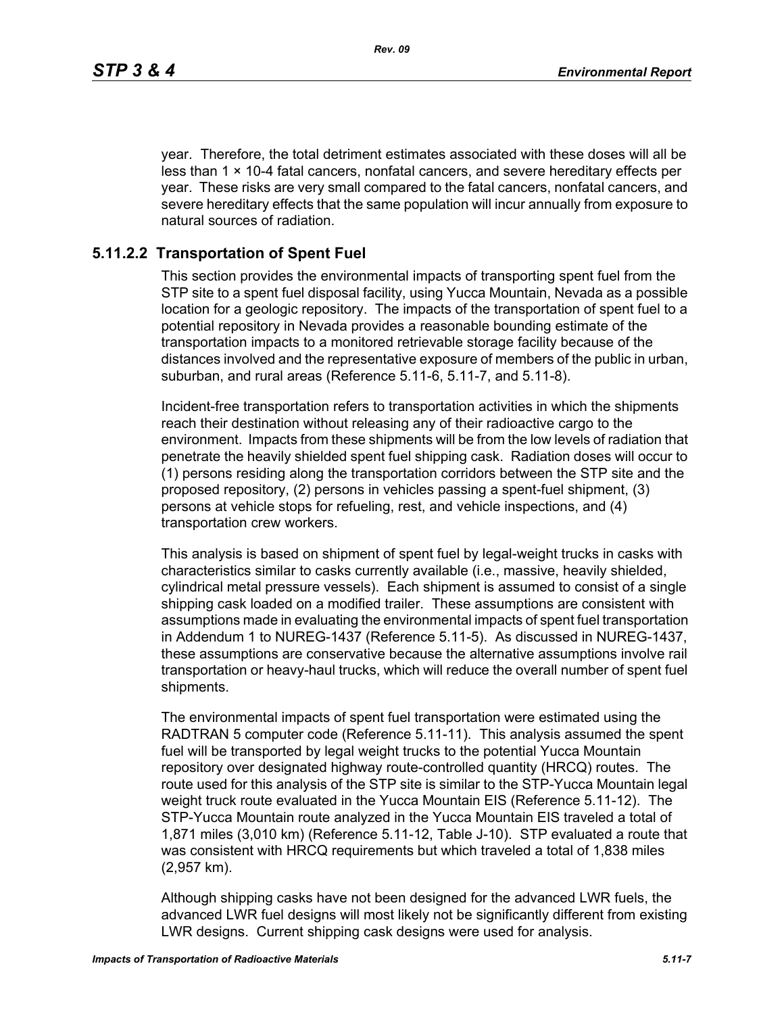year. Therefore, the total detriment estimates associated with these doses will all be less than  $1 \times 10-4$  fatal cancers, nonfatal cancers, and severe hereditary effects per year. These risks are very small compared to the fatal cancers, nonfatal cancers, and severe hereditary effects that the same population will incur annually from exposure to natural sources of radiation.

### **5.11.2.2 Transportation of Spent Fuel**

This section provides the environmental impacts of transporting spent fuel from the STP site to a spent fuel disposal facility, using Yucca Mountain, Nevada as a possible location for a geologic repository. The impacts of the transportation of spent fuel to a potential repository in Nevada provides a reasonable bounding estimate of the transportation impacts to a monitored retrievable storage facility because of the distances involved and the representative exposure of members of the public in urban, suburban, and rural areas (Reference 5.11-6, 5.11-7, and 5.11-8).

Incident-free transportation refers to transportation activities in which the shipments reach their destination without releasing any of their radioactive cargo to the environment. Impacts from these shipments will be from the low levels of radiation that penetrate the heavily shielded spent fuel shipping cask. Radiation doses will occur to (1) persons residing along the transportation corridors between the STP site and the proposed repository, (2) persons in vehicles passing a spent-fuel shipment, (3) persons at vehicle stops for refueling, rest, and vehicle inspections, and (4) transportation crew workers.

This analysis is based on shipment of spent fuel by legal-weight trucks in casks with characteristics similar to casks currently available (i.e., massive, heavily shielded, cylindrical metal pressure vessels). Each shipment is assumed to consist of a single shipping cask loaded on a modified trailer. These assumptions are consistent with assumptions made in evaluating the environmental impacts of spent fuel transportation in Addendum 1 to NUREG-1437 (Reference 5.11-5). As discussed in NUREG-1437, these assumptions are conservative because the alternative assumptions involve rail transportation or heavy-haul trucks, which will reduce the overall number of spent fuel shipments.

The environmental impacts of spent fuel transportation were estimated using the RADTRAN 5 computer code (Reference 5.11-11). This analysis assumed the spent fuel will be transported by legal weight trucks to the potential Yucca Mountain repository over designated highway route-controlled quantity (HRCQ) routes. The route used for this analysis of the STP site is similar to the STP-Yucca Mountain legal weight truck route evaluated in the Yucca Mountain EIS (Reference 5.11-12). The STP-Yucca Mountain route analyzed in the Yucca Mountain EIS traveled a total of 1,871 miles (3,010 km) (Reference 5.11-12, Table J-10). STP evaluated a route that was consistent with HRCQ requirements but which traveled a total of 1,838 miles (2,957 km).

Although shipping casks have not been designed for the advanced LWR fuels, the advanced LWR fuel designs will most likely not be significantly different from existing LWR designs. Current shipping cask designs were used for analysis.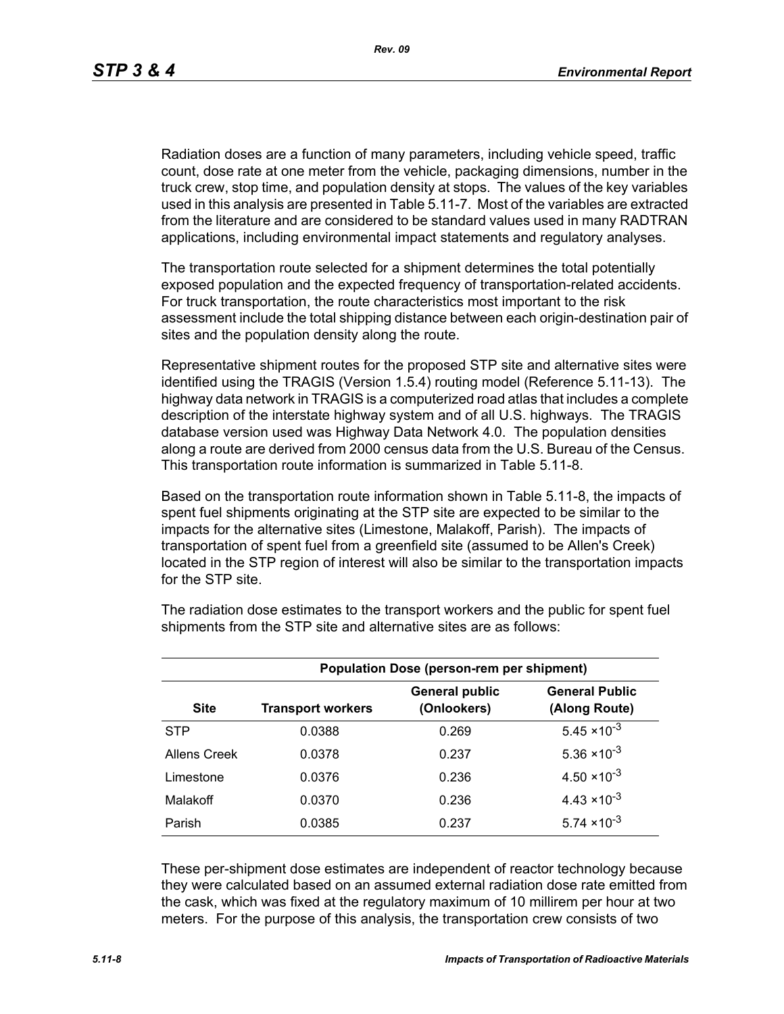Radiation doses are a function of many parameters, including vehicle speed, traffic count, dose rate at one meter from the vehicle, packaging dimensions, number in the truck crew, stop time, and population density at stops. The values of the key variables used in this analysis are presented in Table 5.11-7. Most of the variables are extracted from the literature and are considered to be standard values used in many RADTRAN applications, including environmental impact statements and regulatory analyses.

The transportation route selected for a shipment determines the total potentially exposed population and the expected frequency of transportation-related accidents. For truck transportation, the route characteristics most important to the risk assessment include the total shipping distance between each origin-destination pair of sites and the population density along the route.

Representative shipment routes for the proposed STP site and alternative sites were identified using the TRAGIS (Version 1.5.4) routing model (Reference 5.11-13). The highway data network in TRAGIS is a computerized road atlas that includes a complete description of the interstate highway system and of all U.S. highways. The TRAGIS database version used was Highway Data Network 4.0. The population densities along a route are derived from 2000 census data from the U.S. Bureau of the Census. This transportation route information is summarized in Table 5.11-8.

Based on the transportation route information shown in Table 5.11-8, the impacts of spent fuel shipments originating at the STP site are expected to be similar to the impacts for the alternative sites (Limestone, Malakoff, Parish). The impacts of transportation of spent fuel from a greenfield site (assumed to be Allen's Creek) located in the STP region of interest will also be similar to the transportation impacts for the STP site.

| <b>Population Dose (person-rem per shipment)</b> |                          |                                      |                                        |  |  |
|--------------------------------------------------|--------------------------|--------------------------------------|----------------------------------------|--|--|
| <b>Site</b>                                      | <b>Transport workers</b> | <b>General public</b><br>(Onlookers) | <b>General Public</b><br>(Along Route) |  |  |
| <b>STP</b>                                       | 0.0388                   | 0.269                                | $5.45 \times 10^{-3}$                  |  |  |
| Allens Creek                                     | 0.0378                   | 0.237                                | $5.36 \times 10^{-3}$                  |  |  |
| Limestone                                        | 0.0376                   | 0.236                                | $4.50 \times 10^{-3}$                  |  |  |
| Malakoff                                         | 0.0370                   | 0.236                                | $4.43 \times 10^{-3}$                  |  |  |
| Parish                                           | 0.0385                   | 0.237                                | $5.74 \times 10^{-3}$                  |  |  |

The radiation dose estimates to the transport workers and the public for spent fuel shipments from the STP site and alternative sites are as follows:

These per-shipment dose estimates are independent of reactor technology because they were calculated based on an assumed external radiation dose rate emitted from the cask, which was fixed at the regulatory maximum of 10 millirem per hour at two meters. For the purpose of this analysis, the transportation crew consists of two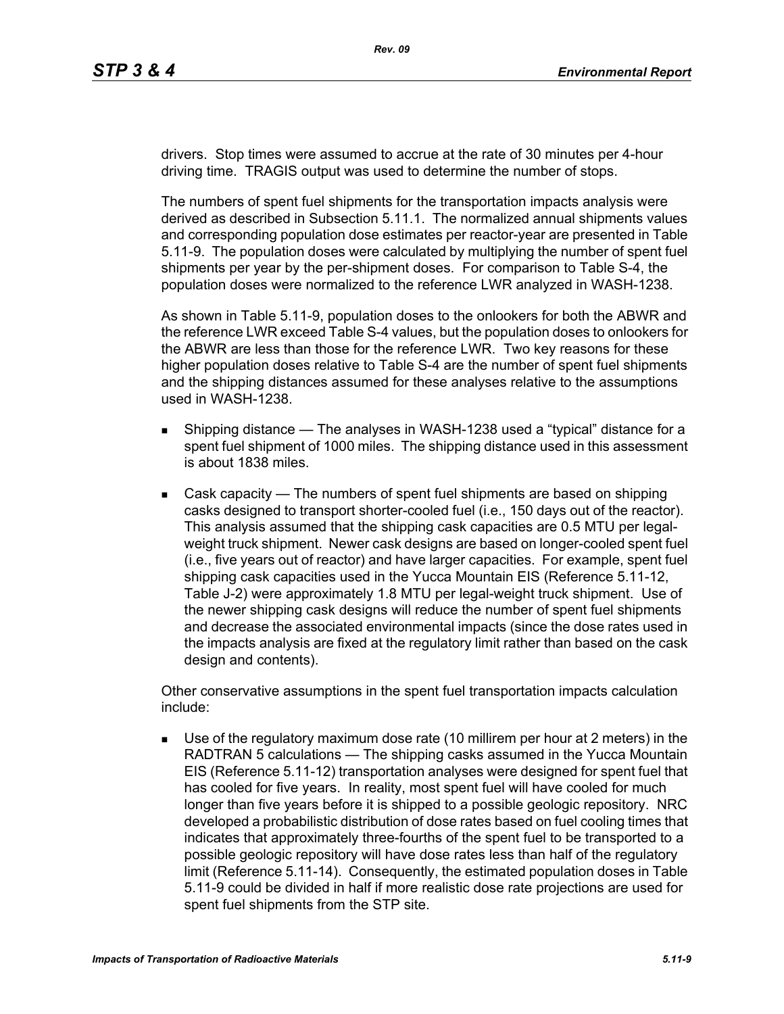drivers. Stop times were assumed to accrue at the rate of 30 minutes per 4-hour driving time. TRAGIS output was used to determine the number of stops.

The numbers of spent fuel shipments for the transportation impacts analysis were derived as described in Subsection 5.11.1. The normalized annual shipments values and corresponding population dose estimates per reactor-year are presented in Table 5.11-9. The population doses were calculated by multiplying the number of spent fuel shipments per year by the per-shipment doses. For comparison to Table S-4, the population doses were normalized to the reference LWR analyzed in WASH-1238.

As shown in Table 5.11-9, population doses to the onlookers for both the ABWR and the reference LWR exceed Table S-4 values, but the population doses to onlookers for the ABWR are less than those for the reference LWR. Two key reasons for these higher population doses relative to Table S-4 are the number of spent fuel shipments and the shipping distances assumed for these analyses relative to the assumptions used in WASH-1238.

- **Shipping distance The analyses in WASH-1238 used a "typical" distance for a** spent fuel shipment of 1000 miles. The shipping distance used in this assessment is about 1838 miles.
- Cask capacity The numbers of spent fuel shipments are based on shipping casks designed to transport shorter-cooled fuel (i.e., 150 days out of the reactor). This analysis assumed that the shipping cask capacities are 0.5 MTU per legalweight truck shipment. Newer cask designs are based on longer-cooled spent fuel (i.e., five years out of reactor) and have larger capacities. For example, spent fuel shipping cask capacities used in the Yucca Mountain EIS (Reference 5.11-12, Table J-2) were approximately 1.8 MTU per legal-weight truck shipment. Use of the newer shipping cask designs will reduce the number of spent fuel shipments and decrease the associated environmental impacts (since the dose rates used in the impacts analysis are fixed at the regulatory limit rather than based on the cask design and contents).

Other conservative assumptions in the spent fuel transportation impacts calculation include:

 Use of the regulatory maximum dose rate (10 millirem per hour at 2 meters) in the RADTRAN 5 calculations — The shipping casks assumed in the Yucca Mountain EIS (Reference 5.11-12) transportation analyses were designed for spent fuel that has cooled for five years. In reality, most spent fuel will have cooled for much longer than five years before it is shipped to a possible geologic repository. NRC developed a probabilistic distribution of dose rates based on fuel cooling times that indicates that approximately three-fourths of the spent fuel to be transported to a possible geologic repository will have dose rates less than half of the regulatory limit (Reference 5.11-14). Consequently, the estimated population doses in Table 5.11-9 could be divided in half if more realistic dose rate projections are used for spent fuel shipments from the STP site.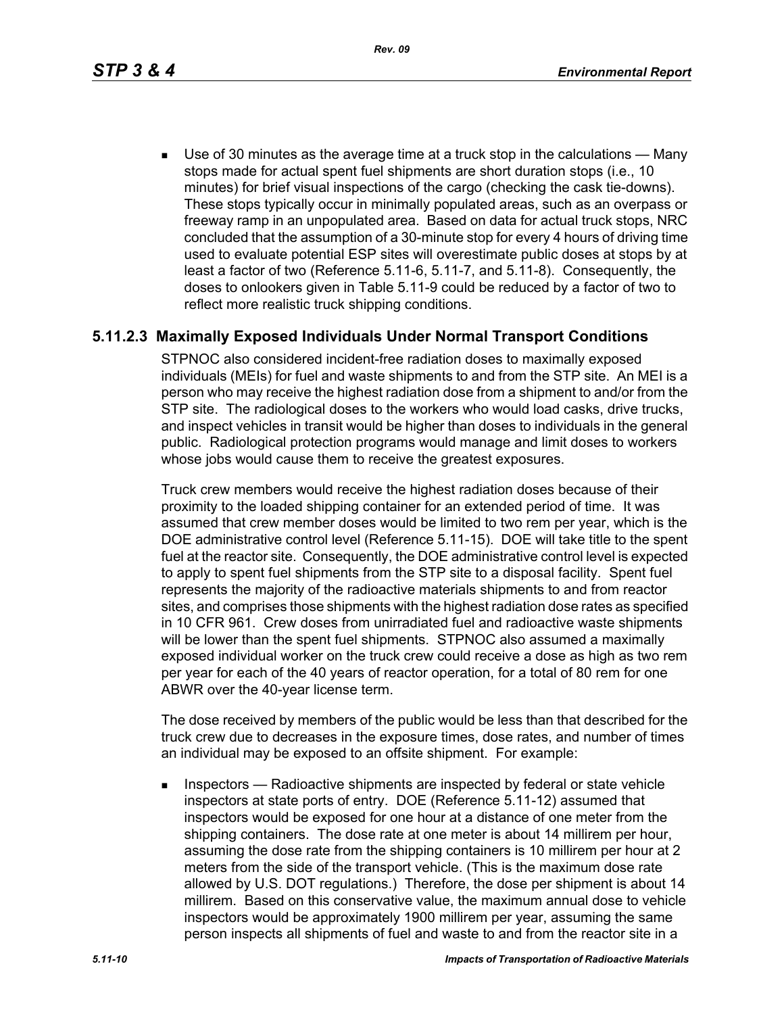*Rev. 09*

 Use of 30 minutes as the average time at a truck stop in the calculations — Many stops made for actual spent fuel shipments are short duration stops (i.e., 10 minutes) for brief visual inspections of the cargo (checking the cask tie-downs). These stops typically occur in minimally populated areas, such as an overpass or freeway ramp in an unpopulated area. Based on data for actual truck stops, NRC concluded that the assumption of a 30-minute stop for every 4 hours of driving time used to evaluate potential ESP sites will overestimate public doses at stops by at least a factor of two (Reference 5.11-6, 5.11-7, and 5.11-8). Consequently, the doses to onlookers given in Table 5.11-9 could be reduced by a factor of two to reflect more realistic truck shipping conditions.

## **5.11.2.3 Maximally Exposed Individuals Under Normal Transport Conditions**

STPNOC also considered incident-free radiation doses to maximally exposed individuals (MEIs) for fuel and waste shipments to and from the STP site. An MEI is a person who may receive the highest radiation dose from a shipment to and/or from the STP site. The radiological doses to the workers who would load casks, drive trucks, and inspect vehicles in transit would be higher than doses to individuals in the general public. Radiological protection programs would manage and limit doses to workers whose jobs would cause them to receive the greatest exposures.

Truck crew members would receive the highest radiation doses because of their proximity to the loaded shipping container for an extended period of time. It was assumed that crew member doses would be limited to two rem per year, which is the DOE administrative control level (Reference 5.11-15). DOE will take title to the spent fuel at the reactor site. Consequently, the DOE administrative control level is expected to apply to spent fuel shipments from the STP site to a disposal facility. Spent fuel represents the majority of the radioactive materials shipments to and from reactor sites, and comprises those shipments with the highest radiation dose rates as specified in 10 CFR 961. Crew doses from unirradiated fuel and radioactive waste shipments will be lower than the spent fuel shipments. STPNOC also assumed a maximally exposed individual worker on the truck crew could receive a dose as high as two rem per year for each of the 40 years of reactor operation, for a total of 80 rem for one ABWR over the 40-year license term.

The dose received by members of the public would be less than that described for the truck crew due to decreases in the exposure times, dose rates, and number of times an individual may be exposed to an offsite shipment. For example:

**Inspectors** — Radioactive shipments are inspected by federal or state vehicle inspectors at state ports of entry. DOE (Reference 5.11-12) assumed that inspectors would be exposed for one hour at a distance of one meter from the shipping containers. The dose rate at one meter is about 14 millirem per hour, assuming the dose rate from the shipping containers is 10 millirem per hour at 2 meters from the side of the transport vehicle. (This is the maximum dose rate allowed by U.S. DOT regulations.) Therefore, the dose per shipment is about 14 millirem. Based on this conservative value, the maximum annual dose to vehicle inspectors would be approximately 1900 millirem per year, assuming the same person inspects all shipments of fuel and waste to and from the reactor site in a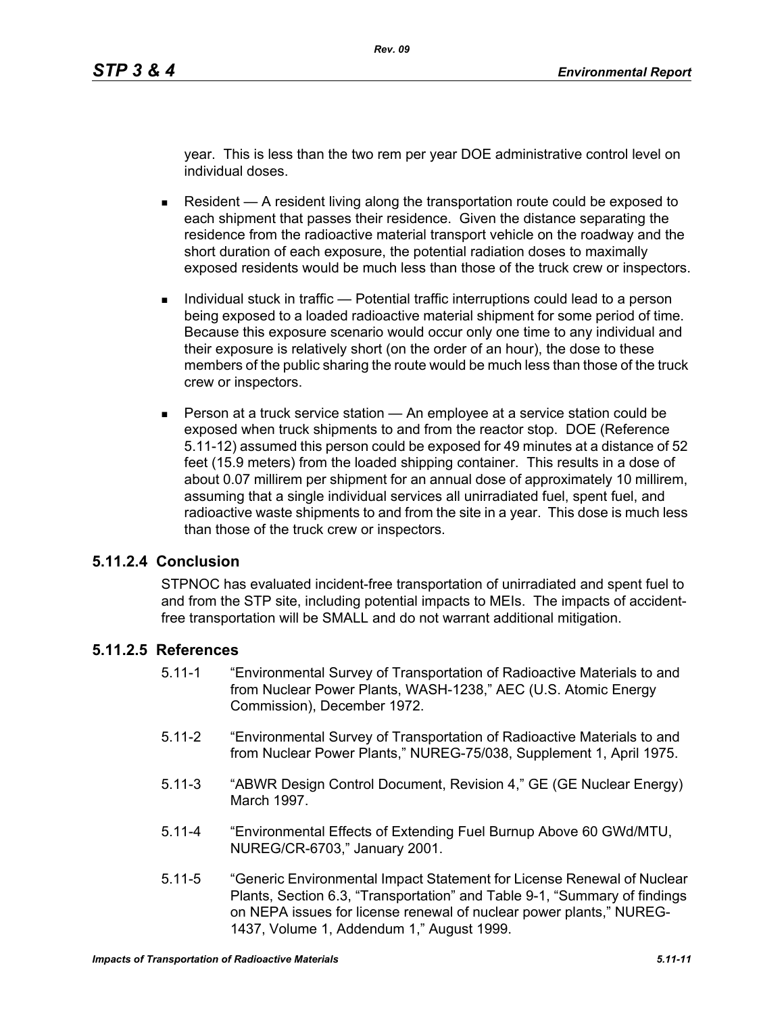year. This is less than the two rem per year DOE administrative control level on individual doses.

- Resident  $A$  resident living along the transportation route could be exposed to each shipment that passes their residence. Given the distance separating the residence from the radioactive material transport vehicle on the roadway and the short duration of each exposure, the potential radiation doses to maximally exposed residents would be much less than those of the truck crew or inspectors.
- Individual stuck in traffic Potential traffic interruptions could lead to a person being exposed to a loaded radioactive material shipment for some period of time. Because this exposure scenario would occur only one time to any individual and their exposure is relatively short (on the order of an hour), the dose to these members of the public sharing the route would be much less than those of the truck crew or inspectors.
- **Person at a truck service station An employee at a service station could be** exposed when truck shipments to and from the reactor stop. DOE (Reference 5.11-12) assumed this person could be exposed for 49 minutes at a distance of 52 feet (15.9 meters) from the loaded shipping container. This results in a dose of about 0.07 millirem per shipment for an annual dose of approximately 10 millirem, assuming that a single individual services all unirradiated fuel, spent fuel, and radioactive waste shipments to and from the site in a year. This dose is much less than those of the truck crew or inspectors.

#### **5.11.2.4 Conclusion**

STPNOC has evaluated incident-free transportation of unirradiated and spent fuel to and from the STP site, including potential impacts to MEIs. The impacts of accidentfree transportation will be SMALL and do not warrant additional mitigation.

#### **5.11.2.5 References**

- 5.11-1 "Environmental Survey of Transportation of Radioactive Materials to and from Nuclear Power Plants, WASH-1238," AEC (U.S. Atomic Energy Commission), December 1972.
- 5.11-2 "Environmental Survey of Transportation of Radioactive Materials to and from Nuclear Power Plants," NUREG-75/038, Supplement 1, April 1975.
- 5.11-3 "ABWR Design Control Document, Revision 4," GE (GE Nuclear Energy) March 1997.
- 5.11-4 "Environmental Effects of Extending Fuel Burnup Above 60 GWd/MTU, NUREG/CR-6703," January 2001.
- 5.11-5 "Generic Environmental Impact Statement for License Renewal of Nuclear Plants, Section 6.3, "Transportation" and Table 9-1, "Summary of findings on NEPA issues for license renewal of nuclear power plants," NUREG-1437, Volume 1, Addendum 1," August 1999.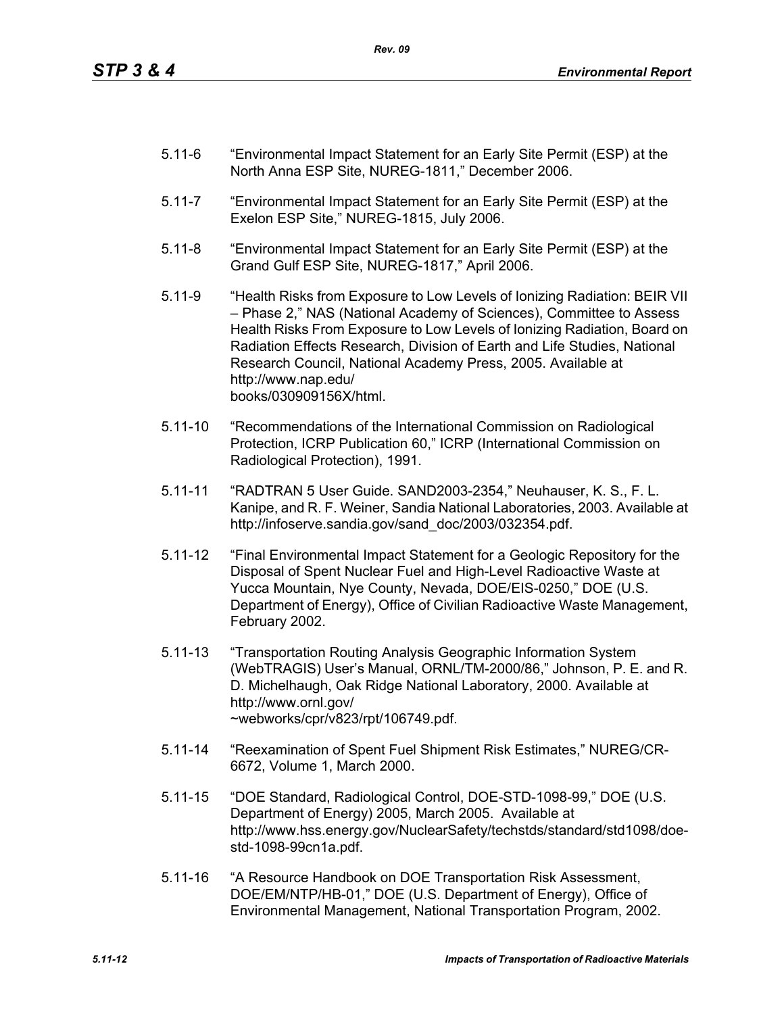- 5.11-6 "Environmental Impact Statement for an Early Site Permit (ESP) at the North Anna ESP Site, NUREG-1811," December 2006.
- 5.11-7 "Environmental Impact Statement for an Early Site Permit (ESP) at the Exelon ESP Site," NUREG-1815, July 2006.
- 5.11-8 "Environmental Impact Statement for an Early Site Permit (ESP) at the Grand Gulf ESP Site, NUREG-1817," April 2006.
- 5.11-9 "Health Risks from Exposure to Low Levels of Ionizing Radiation: BEIR VII – Phase 2," NAS (National Academy of Sciences), Committee to Assess Health Risks From Exposure to Low Levels of Ionizing Radiation, Board on Radiation Effects Research, Division of Earth and Life Studies, National Research Council, National Academy Press, 2005. Available at http://www.nap.edu/ books/030909156X/html.
- 5.11-10 "Recommendations of the International Commission on Radiological Protection, ICRP Publication 60," ICRP (International Commission on Radiological Protection), 1991.
- 5.11-11 "RADTRAN 5 User Guide. SAND2003-2354," Neuhauser, K. S., F. L. Kanipe, and R. F. Weiner, Sandia National Laboratories, 2003. Available at http://infoserve.sandia.gov/sand\_doc/2003/032354.pdf.
- 5.11-12 "Final Environmental Impact Statement for a Geologic Repository for the Disposal of Spent Nuclear Fuel and High-Level Radioactive Waste at Yucca Mountain, Nye County, Nevada, DOE/EIS-0250," DOE (U.S. Department of Energy), Office of Civilian Radioactive Waste Management, February 2002.
- 5.11-13 "Transportation Routing Analysis Geographic Information System (WebTRAGIS) User's Manual, ORNL/TM-2000/86," Johnson, P. E. and R. D. Michelhaugh, Oak Ridge National Laboratory, 2000. Available at http://www.ornl.gov/ ~webworks/cpr/v823/rpt/106749.pdf.
- 5.11-14 "Reexamination of Spent Fuel Shipment Risk Estimates," NUREG/CR-6672, Volume 1, March 2000.
- 5.11-15 "DOE Standard, Radiological Control, DOE-STD-1098-99," DOE (U.S. Department of Energy) 2005, March 2005. Available at http://www.hss.energy.gov/NuclearSafety/techstds/standard/std1098/doestd-1098-99cn1a.pdf.
- 5.11-16 "A Resource Handbook on DOE Transportation Risk Assessment, DOE/EM/NTP/HB-01," DOE (U.S. Department of Energy), Office of Environmental Management, National Transportation Program, 2002.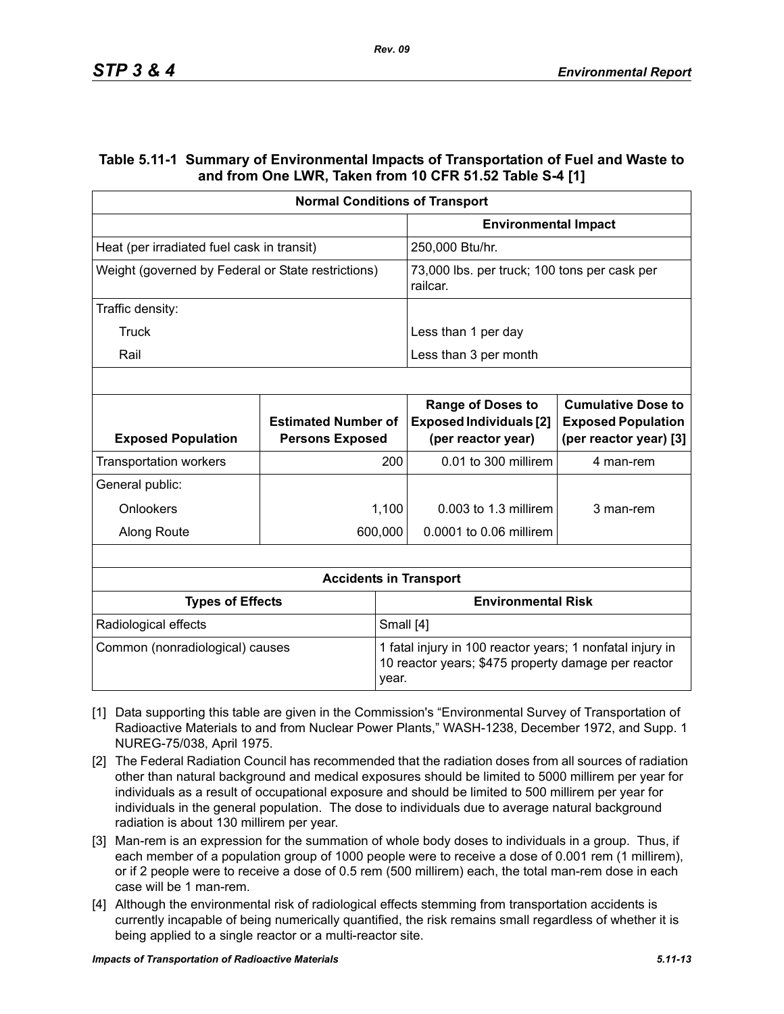### **Table 5.11-1 Summary of Environmental Impacts of Transportation of Fuel and Waste to and from One LWR, Taken from 10 CFR 51.52 Table S-4 [1]**

|                                                    | <b>Normal Conditions of Transport</b>                |                                                                                                                  |                                                                                  |                                                                                  |  |
|----------------------------------------------------|------------------------------------------------------|------------------------------------------------------------------------------------------------------------------|----------------------------------------------------------------------------------|----------------------------------------------------------------------------------|--|
|                                                    |                                                      |                                                                                                                  | <b>Environmental Impact</b>                                                      |                                                                                  |  |
| Heat (per irradiated fuel cask in transit)         |                                                      |                                                                                                                  | 250,000 Btu/hr.                                                                  |                                                                                  |  |
| Weight (governed by Federal or State restrictions) |                                                      | 73,000 lbs. per truck; 100 tons per cask per<br>railcar.                                                         |                                                                                  |                                                                                  |  |
| Traffic density:                                   |                                                      |                                                                                                                  |                                                                                  |                                                                                  |  |
| Truck                                              |                                                      |                                                                                                                  | Less than 1 per day                                                              |                                                                                  |  |
| Rail                                               |                                                      |                                                                                                                  | Less than 3 per month                                                            |                                                                                  |  |
|                                                    |                                                      |                                                                                                                  |                                                                                  |                                                                                  |  |
| <b>Exposed Population</b>                          | <b>Estimated Number of</b><br><b>Persons Exposed</b> |                                                                                                                  | <b>Range of Doses to</b><br><b>Exposed Individuals [2]</b><br>(per reactor year) | <b>Cumulative Dose to</b><br><b>Exposed Population</b><br>(per reactor year) [3] |  |
| <b>Transportation workers</b>                      |                                                      | 200                                                                                                              | 0.01 to 300 millirem                                                             | 4 man-rem                                                                        |  |
| General public:                                    |                                                      |                                                                                                                  |                                                                                  |                                                                                  |  |
| Onlookers                                          |                                                      | 1,100                                                                                                            | $0.003$ to 1.3 millirem                                                          | 3 man-rem                                                                        |  |
| Along Route                                        |                                                      | 600,000                                                                                                          | 0.0001 to 0.06 millirem                                                          |                                                                                  |  |
|                                                    |                                                      |                                                                                                                  |                                                                                  |                                                                                  |  |
|                                                    |                                                      |                                                                                                                  | <b>Accidents in Transport</b>                                                    |                                                                                  |  |
| <b>Types of Effects</b>                            |                                                      |                                                                                                                  | <b>Environmental Risk</b>                                                        |                                                                                  |  |
| Radiological effects                               |                                                      | Small [4]                                                                                                        |                                                                                  |                                                                                  |  |
| Common (nonradiological) causes<br>year.           |                                                      | 1 fatal injury in 100 reactor years; 1 nonfatal injury in<br>10 reactor years; \$475 property damage per reactor |                                                                                  |                                                                                  |  |

- [1] Data supporting this table are given in the Commission's "Environmental Survey of Transportation of Radioactive Materials to and from Nuclear Power Plants," WASH-1238, December 1972, and Supp. 1 NUREG-75/038, April 1975.
- [2] The Federal Radiation Council has recommended that the radiation doses from all sources of radiation other than natural background and medical exposures should be limited to 5000 millirem per year for individuals as a result of occupational exposure and should be limited to 500 millirem per year for individuals in the general population. The dose to individuals due to average natural background radiation is about 130 millirem per year.
- [3] Man-rem is an expression for the summation of whole body doses to individuals in a group. Thus, if each member of a population group of 1000 people were to receive a dose of 0.001 rem (1 millirem), or if 2 people were to receive a dose of 0.5 rem (500 millirem) each, the total man-rem dose in each case will be 1 man-rem.
- [4] Although the environmental risk of radiological effects stemming from transportation accidents is currently incapable of being numerically quantified, the risk remains small regardless of whether it is being applied to a single reactor or a multi-reactor site.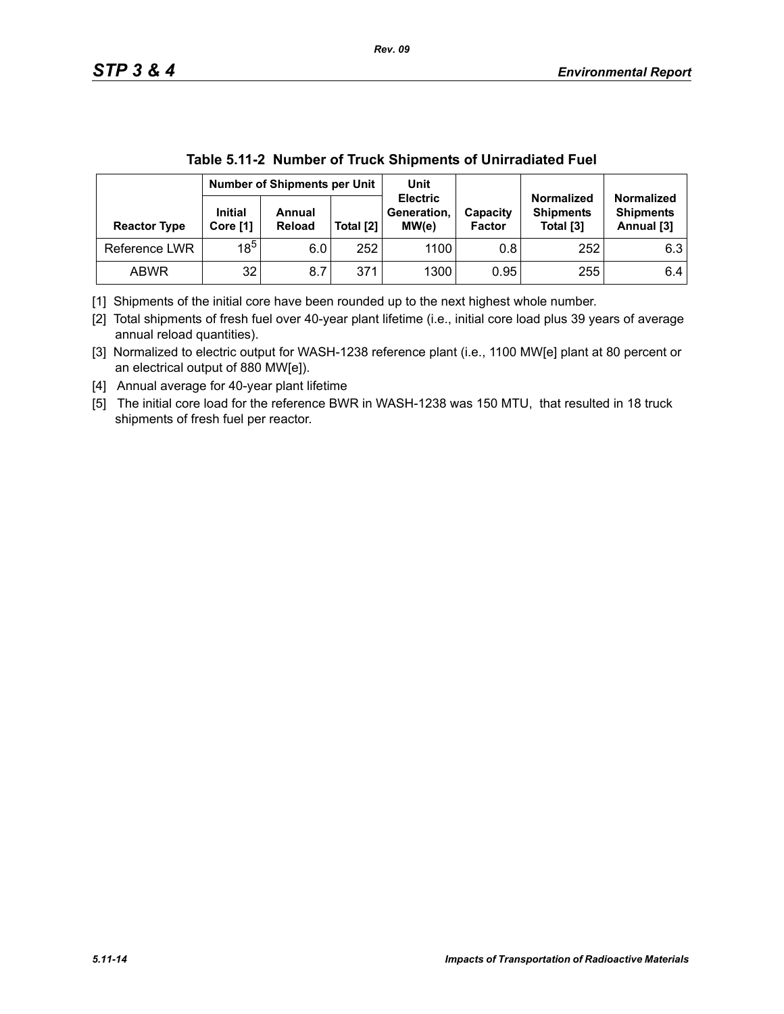|                     | <b>Number of Shipments per Unit</b> |                         |           | Unit                                    |                           |                                                    |                                                     |
|---------------------|-------------------------------------|-------------------------|-----------|-----------------------------------------|---------------------------|----------------------------------------------------|-----------------------------------------------------|
| <b>Reactor Type</b> | <b>Initial</b><br>Core [1]          | Annual<br><b>Reload</b> | Total [2] | <b>Electric</b><br>Generation,<br>MW(e) | Capacity<br><b>Factor</b> | <b>Normalized</b><br><b>Shipments</b><br>Total [3] | <b>Normalized</b><br><b>Shipments</b><br>Annual [3] |
| Reference LWR       | $18^5$                              | 6.0                     | 252       | 1100                                    | 0.8                       | 252                                                | 6.3                                                 |
| <b>ABWR</b>         | 32                                  | 8.7                     | 371       | 1300                                    | 0.95                      | 255                                                | 6.4                                                 |

|  | Table 5.11-2 Number of Truck Shipments of Unirradiated Fuel |
|--|-------------------------------------------------------------|
|  |                                                             |

[1] Shipments of the initial core have been rounded up to the next highest whole number.

[2] Total shipments of fresh fuel over 40-year plant lifetime (i.e., initial core load plus 39 years of average annual reload quantities).

[3] Normalized to electric output for WASH-1238 reference plant (i.e., 1100 MW[e] plant at 80 percent or an electrical output of 880 MW[e]).

[4] Annual average for 40-year plant lifetime

[5] The initial core load for the reference BWR in WASH-1238 was 150 MTU, that resulted in 18 truck shipments of fresh fuel per reactor.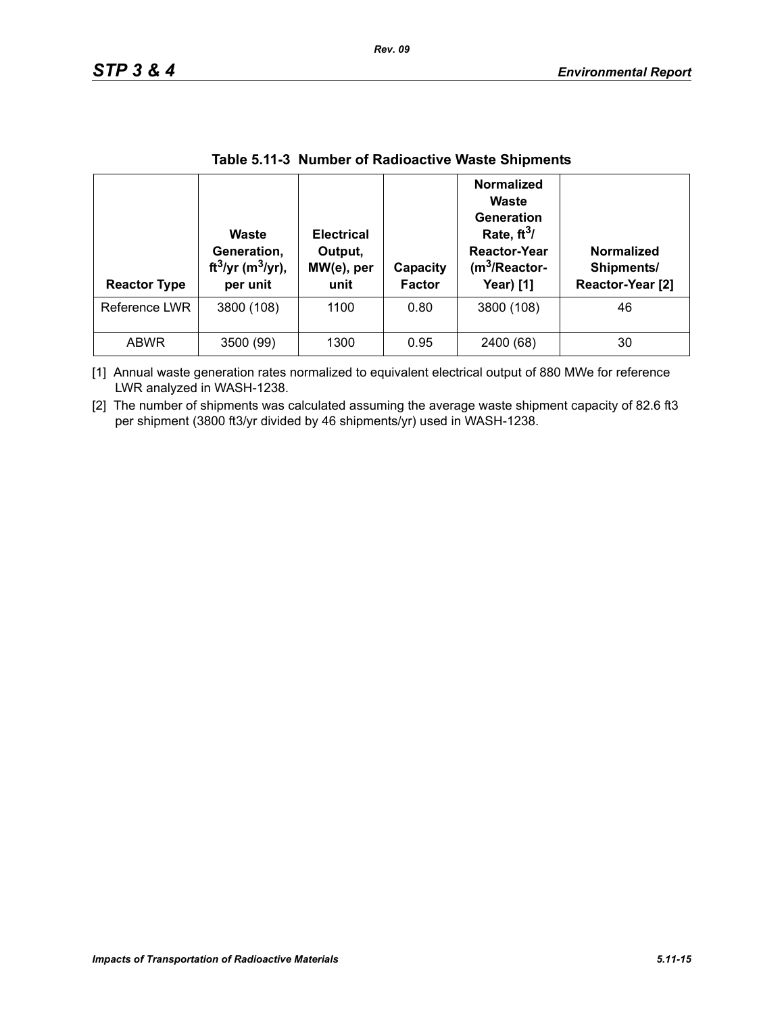| <b>Reactor Type</b> | <b>Waste</b><br>Generation,<br>ft <sup>3</sup> /yr (m <sup>3</sup> /yr),<br>per unit | <b>Electrical</b><br>Output,<br>MW(e), per<br>unit | Capacity<br><b>Factor</b> | <b>Normalized</b><br>Waste<br>Generation<br>Rate, $ft^3/$<br><b>Reactor-Year</b><br>$(m3/Reactor-$<br><b>Year)</b> [1] | <b>Normalized</b><br>Shipments/<br>Reactor-Year [2] |
|---------------------|--------------------------------------------------------------------------------------|----------------------------------------------------|---------------------------|------------------------------------------------------------------------------------------------------------------------|-----------------------------------------------------|
| Reference LWR       | 3800 (108)                                                                           | 1100                                               | 0.80                      | 3800 (108)                                                                                                             | 46                                                  |
| <b>ABWR</b>         | 3500 (99)                                                                            | 1300                                               | 0.95                      | 2400 (68)                                                                                                              | 30                                                  |

### **Table 5.11-3 Number of Radioactive Waste Shipments**

[1] Annual waste generation rates normalized to equivalent electrical output of 880 MWe for reference LWR analyzed in WASH-1238.

[2] The number of shipments was calculated assuming the average waste shipment capacity of 82.6 ft3 per shipment (3800 ft3/yr divided by 46 shipments/yr) used in WASH-1238.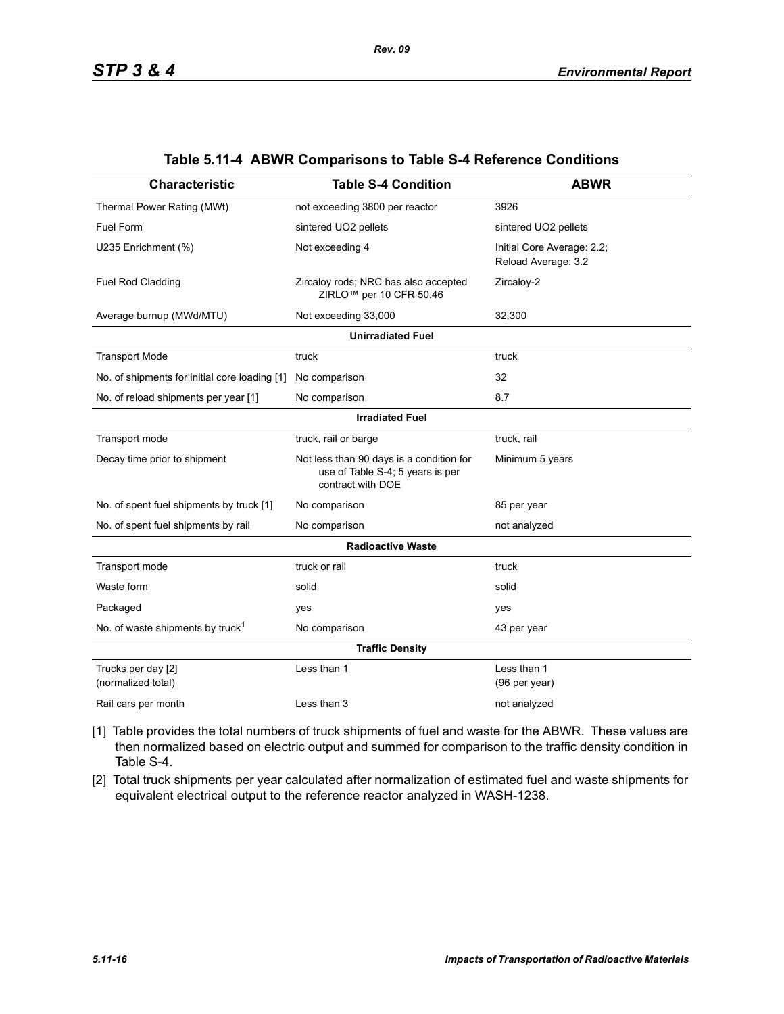| <b>Characteristic</b>                         | <b>Table S-4 Condition</b>                                                                        | <b>ABWR</b>                                       |  |  |  |  |  |
|-----------------------------------------------|---------------------------------------------------------------------------------------------------|---------------------------------------------------|--|--|--|--|--|
| Thermal Power Rating (MWt)                    | not exceeding 3800 per reactor                                                                    | 3926                                              |  |  |  |  |  |
| Fuel Form                                     | sintered UO2 pellets                                                                              | sintered UO2 pellets                              |  |  |  |  |  |
| U235 Enrichment (%)                           | Not exceeding 4                                                                                   | Initial Core Average: 2.2;<br>Reload Average: 3.2 |  |  |  |  |  |
| Fuel Rod Cladding                             | Zircaloy rods; NRC has also accepted<br>ZIRLO <sup>™</sup> per 10 CFR 50.46                       | Zircaloy-2                                        |  |  |  |  |  |
| Average burnup (MWd/MTU)                      | Not exceeding 33,000                                                                              | 32,300                                            |  |  |  |  |  |
| <b>Unirradiated Fuel</b>                      |                                                                                                   |                                                   |  |  |  |  |  |
| <b>Transport Mode</b>                         | truck                                                                                             | truck                                             |  |  |  |  |  |
| No. of shipments for initial core loading [1] | No comparison                                                                                     | 32                                                |  |  |  |  |  |
| No. of reload shipments per year [1]          | No comparison                                                                                     | 8.7                                               |  |  |  |  |  |
|                                               | <b>Irradiated Fuel</b>                                                                            |                                                   |  |  |  |  |  |
| Transport mode                                | truck, rail or barge                                                                              | truck, rail                                       |  |  |  |  |  |
| Decay time prior to shipment                  | Not less than 90 days is a condition for<br>use of Table S-4; 5 years is per<br>contract with DOE | Minimum 5 years                                   |  |  |  |  |  |
| No. of spent fuel shipments by truck [1]      | No comparison                                                                                     | 85 per year                                       |  |  |  |  |  |
| No. of spent fuel shipments by rail           | No comparison                                                                                     | not analyzed                                      |  |  |  |  |  |
|                                               | <b>Radioactive Waste</b>                                                                          |                                                   |  |  |  |  |  |
| Transport mode                                | truck or rail                                                                                     | truck                                             |  |  |  |  |  |
| Waste form                                    | solid                                                                                             | solid                                             |  |  |  |  |  |
| Packaged                                      | yes                                                                                               | yes                                               |  |  |  |  |  |
| No. of waste shipments by truck <sup>1</sup>  | No comparison                                                                                     | 43 per year                                       |  |  |  |  |  |
|                                               | <b>Traffic Density</b>                                                                            |                                                   |  |  |  |  |  |
| Trucks per day [2]<br>(normalized total)      | Less than 1                                                                                       | Less than 1<br>(96 per year)                      |  |  |  |  |  |
| Rail cars per month                           | Less than 3                                                                                       | not analyzed                                      |  |  |  |  |  |

#### **Table 5.11-4 ABWR Comparisons to Table S-4 Reference Conditions**

- [1] Table provides the total numbers of truck shipments of fuel and waste for the ABWR. These values are then normalized based on electric output and summed for comparison to the traffic density condition in Table S-4.
- [2] Total truck shipments per year calculated after normalization of estimated fuel and waste shipments for equivalent electrical output to the reference reactor analyzed in WASH-1238.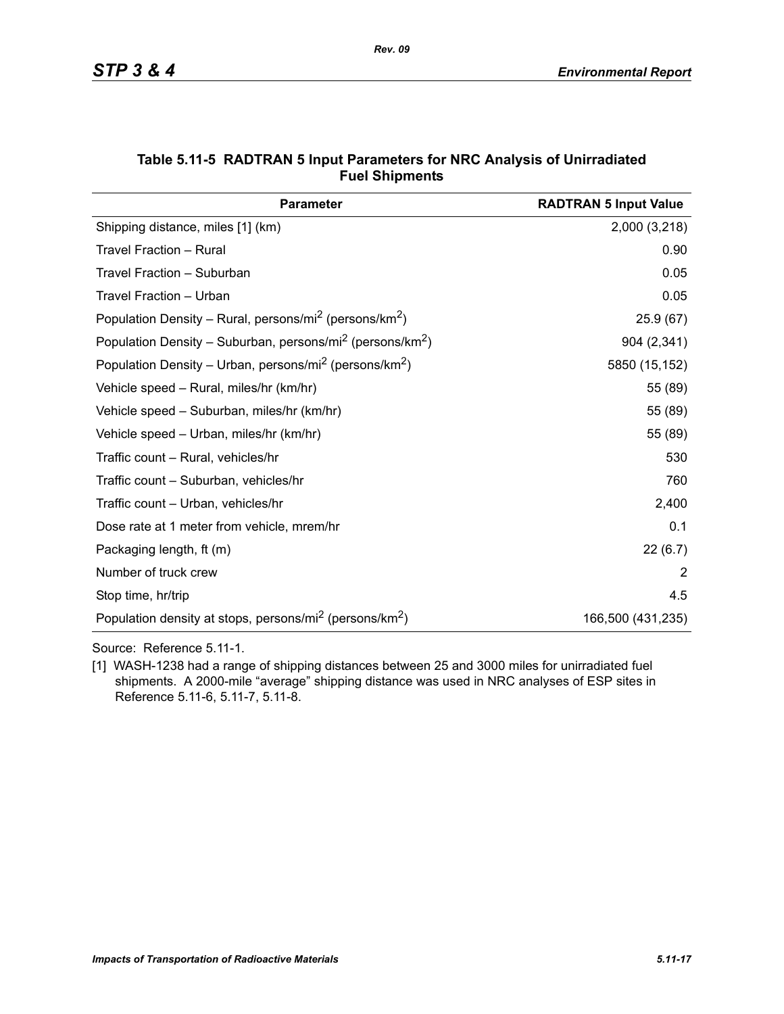| <b>Parameter</b>                                                                  | <b>RADTRAN 5 Input Value</b> |
|-----------------------------------------------------------------------------------|------------------------------|
| Shipping distance, miles [1] (km)                                                 | 2,000 (3,218)                |
| Travel Fraction - Rural                                                           | 0.90                         |
| Travel Fraction - Suburban                                                        | 0.05                         |
| Travel Fraction - Urban                                                           | 0.05                         |
| Population Density – Rural, persons/mi <sup>2</sup> (persons/km <sup>2</sup> )    | 25.9(67)                     |
| Population Density - Suburban, persons/mi <sup>2</sup> (persons/km <sup>2</sup> ) | 904 (2,341)                  |
| Population Density – Urban, persons/mi <sup>2</sup> (persons/km <sup>2</sup> )    | 5850 (15,152)                |
| Vehicle speed - Rural, miles/hr (km/hr)                                           | 55 (89)                      |
| Vehicle speed - Suburban, miles/hr (km/hr)                                        | 55 (89)                      |
| Vehicle speed – Urban, miles/hr (km/hr)                                           | 55 (89)                      |
| Traffic count - Rural, vehicles/hr                                                | 530                          |
| Traffic count - Suburban, vehicles/hr                                             | 760                          |
| Traffic count – Urban, vehicles/hr                                                | 2,400                        |
| Dose rate at 1 meter from vehicle, mrem/hr                                        | 0.1                          |
| Packaging length, ft (m)                                                          | 22(6.7)                      |
| Number of truck crew                                                              | 2                            |
| Stop time, hr/trip                                                                | 4.5                          |
| Population density at stops, persons/mi <sup>2</sup> (persons/km <sup>2</sup> )   | 166,500 (431,235)            |

#### **Table 5.11-5 RADTRAN 5 Input Parameters for NRC Analysis of Unirradiated Fuel Shipments**

Source: Reference 5.11-1.

[1] WASH-1238 had a range of shipping distances between 25 and 3000 miles for unirradiated fuel shipments. A 2000-mile "average" shipping distance was used in NRC analyses of ESP sites in Reference 5.11-6, 5.11-7, 5.11-8.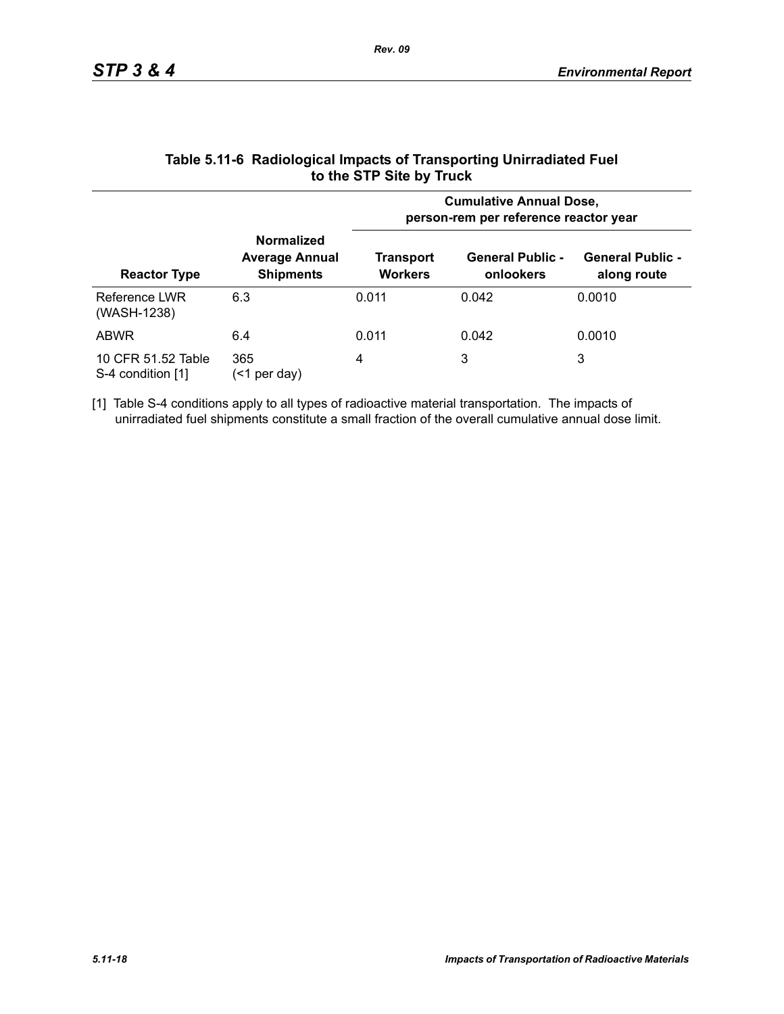|                                         |                                                                | <b>Cumulative Annual Dose,</b><br>person-rem per reference reactor year |                                      |                                        |  |  |
|-----------------------------------------|----------------------------------------------------------------|-------------------------------------------------------------------------|--------------------------------------|----------------------------------------|--|--|
| <b>Reactor Type</b>                     | <b>Normalized</b><br><b>Average Annual</b><br><b>Shipments</b> | Transport<br><b>Workers</b>                                             | <b>General Public -</b><br>onlookers | <b>General Public -</b><br>along route |  |  |
| Reference LWR<br>(WASH-1238)            | 6.3                                                            | 0.011                                                                   | 0.042                                | 0.0010                                 |  |  |
| <b>ABWR</b>                             | 6.4                                                            | 0.011                                                                   | 0.042                                | 0.0010                                 |  |  |
| 10 CFR 51.52 Table<br>S-4 condition [1] | 365<br>per day)<br>(<1                                         | 4                                                                       | 3                                    | 3                                      |  |  |

#### **Table 5.11-6 Radiological Impacts of Transporting Unirradiated Fuel to the STP Site by Truck**

[1] Table S-4 conditions apply to all types of radioactive material transportation. The impacts of unirradiated fuel shipments constitute a small fraction of the overall cumulative annual dose limit.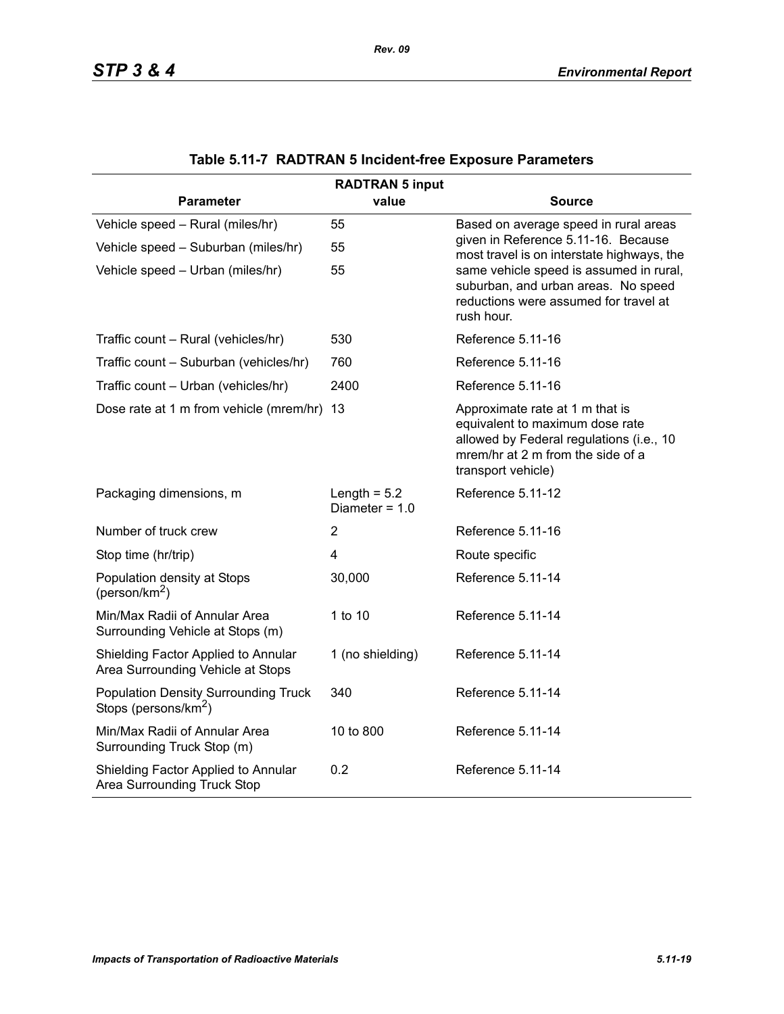|                                                                                 | <b>RADTRAN 5 input</b>             |                                                                                                                                                                           |  |  |  |  |  |
|---------------------------------------------------------------------------------|------------------------------------|---------------------------------------------------------------------------------------------------------------------------------------------------------------------------|--|--|--|--|--|
| <b>Parameter</b>                                                                | value                              | <b>Source</b>                                                                                                                                                             |  |  |  |  |  |
| Vehicle speed - Rural (miles/hr)                                                | 55                                 | Based on average speed in rural areas                                                                                                                                     |  |  |  |  |  |
| Vehicle speed - Suburban (miles/hr)                                             | 55                                 | given in Reference 5.11-16. Because<br>most travel is on interstate highways, the                                                                                         |  |  |  |  |  |
| Vehicle speed - Urban (miles/hr)                                                | 55                                 | same vehicle speed is assumed in rural,<br>suburban, and urban areas. No speed<br>reductions were assumed for travel at<br>rush hour.                                     |  |  |  |  |  |
| Traffic count - Rural (vehicles/hr)                                             | 530                                | Reference 5.11-16                                                                                                                                                         |  |  |  |  |  |
| Traffic count - Suburban (vehicles/hr)                                          | 760                                | Reference 5.11-16                                                                                                                                                         |  |  |  |  |  |
| Traffic count - Urban (vehicles/hr)                                             | 2400                               | Reference 5.11-16                                                                                                                                                         |  |  |  |  |  |
| Dose rate at 1 m from vehicle (mrem/hr) 13                                      |                                    | Approximate rate at 1 m that is<br>equivalent to maximum dose rate<br>allowed by Federal regulations (i.e., 10<br>mrem/hr at 2 m from the side of a<br>transport vehicle) |  |  |  |  |  |
| Packaging dimensions, m                                                         | Length = $5.2$<br>Diameter = $1.0$ | Reference 5.11-12                                                                                                                                                         |  |  |  |  |  |
| Number of truck crew                                                            | $\overline{2}$                     | Reference 5.11-16                                                                                                                                                         |  |  |  |  |  |
| Stop time (hr/trip)                                                             | $\overline{4}$                     | Route specific                                                                                                                                                            |  |  |  |  |  |
| Population density at Stops<br>(person/km <sup>2</sup> )                        | 30,000                             | Reference 5.11-14                                                                                                                                                         |  |  |  |  |  |
| Min/Max Radii of Annular Area<br>Surrounding Vehicle at Stops (m)               | 1 to 10                            | Reference 5.11-14                                                                                                                                                         |  |  |  |  |  |
| Shielding Factor Applied to Annular<br>Area Surrounding Vehicle at Stops        | 1 (no shielding)                   | Reference 5.11-14                                                                                                                                                         |  |  |  |  |  |
| <b>Population Density Surrounding Truck</b><br>Stops (persons/km <sup>2</sup> ) | 340                                | Reference 5.11-14                                                                                                                                                         |  |  |  |  |  |
| Min/Max Radii of Annular Area<br>Surrounding Truck Stop (m)                     | 10 to 800                          | Reference 5.11-14                                                                                                                                                         |  |  |  |  |  |
| Shielding Factor Applied to Annular<br>Area Surrounding Truck Stop              | 0.2                                | Reference 5.11-14                                                                                                                                                         |  |  |  |  |  |

# **Table 5.11-7 RADTRAN 5 Incident-free Exposure Parameters**